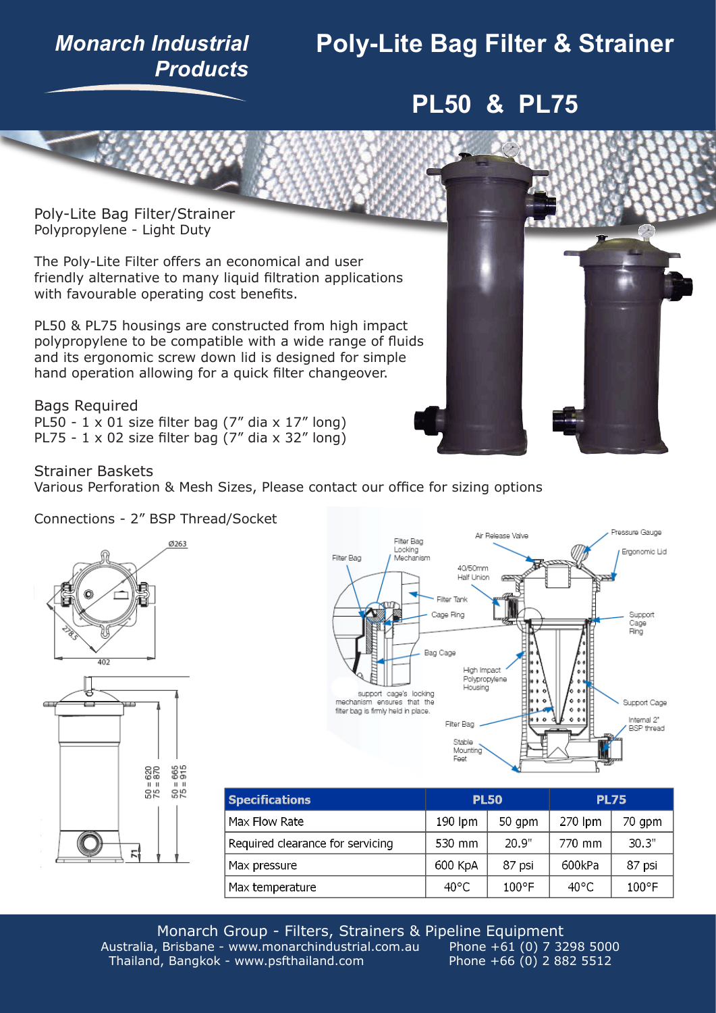### *Monarch Industrial Products*

# **Poly-Lite Bag Filter & Strainer**

## **PL50 & PL75**

Poly-Lite Bag Filter/Strainer Polypropylene - Light Duty

The Poly-Lite Filter offers an economical and user friendly alternative to many liquid filtration applications with favourable operating cost benefits.

PL50 & PL75 housings are constructed from high impact polypropylene to be compatible with a wide range of fluids and its ergonomic screw down lid is designed for simple hand operation allowing for a quick filter changeover.

Bags Required PL50 -  $1 \times 01$  size filter bag (7" dia  $\times 17$ " long) PL75 -  $1 \times 02$  size filter bag (7" dia  $\times 32$ " long)



Strainer Baskets

Various Perforation & Mesh Sizes, Please contact our office for sizing options







| <b>Specifications</b>            | <b>PL50</b>    |        | <b>PL75</b>    |        |
|----------------------------------|----------------|--------|----------------|--------|
| Max Flow Rate                    | 190 lpm        | 50 gpm | 270 lpm        | 70 gpm |
| Required clearance for servicing | 530 mm         | 20.9"  | 770 mm         | 30.3"  |
| Max pressure                     | 600 KpA        | 87 psi | 600kPa         | 87 psi |
| Max temperature                  | $40^{\circ}$ C | 100°F  | $40^{\circ}$ C | 100°F  |

Monarch Group - Filters, Strainers & Pipeline Equipment Australia, Brisbane - www.monarchindustrial.com.au <br>Thailand, Bangkok - www.psfthailand.com Phone +66 (0) 2 882 5512 Thailand, Bangkok - www.psfthailand.com